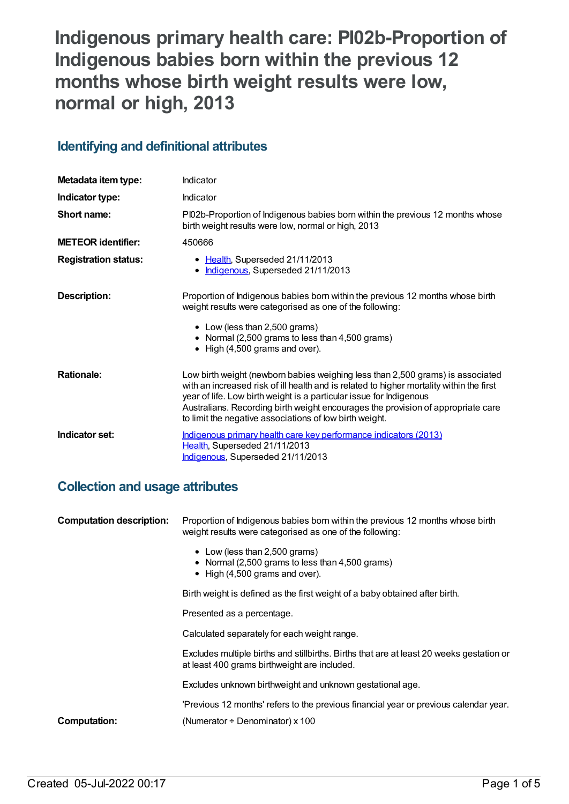# **Indigenous primary health care: PI02b-Proportion of Indigenous babies born within the previous 12 months whose birth weight results were low, normal or high, 2013**

## **Identifying and definitional attributes**

| Metadata item type:         | Indicator                                                                                                                                                                                                                                                                                                                                                                                        |
|-----------------------------|--------------------------------------------------------------------------------------------------------------------------------------------------------------------------------------------------------------------------------------------------------------------------------------------------------------------------------------------------------------------------------------------------|
| Indicator type:             | Indicator                                                                                                                                                                                                                                                                                                                                                                                        |
| Short name:                 | PI02b-Proportion of Indigenous babies born within the previous 12 months whose<br>birth weight results were low, normal or high, 2013                                                                                                                                                                                                                                                            |
| <b>METEOR identifier:</b>   | 450666                                                                                                                                                                                                                                                                                                                                                                                           |
| <b>Registration status:</b> | • Health, Superseded 21/11/2013<br>Indigenous, Superseded 21/11/2013<br>$\bullet$                                                                                                                                                                                                                                                                                                                |
| <b>Description:</b>         | Proportion of Indigenous babies born within the previous 12 months whose birth<br>weight results were categorised as one of the following:<br>• Low (less than 2,500 grams)<br>• Normal (2,500 grams to less than 4,500 grams)<br>• High (4,500 grams and over).                                                                                                                                 |
| <b>Rationale:</b>           | Low birth weight (newborn babies weighing less than 2,500 grams) is associated<br>with an increased risk of ill health and is related to higher mortality within the first<br>year of life. Low birth weight is a particular issue for Indigenous<br>Australians. Recording birth weight encourages the provision of appropriate care<br>to limit the negative associations of low birth weight. |
| Indicator set:              | Indigenous primary health care key performance indicators (2013)<br>Health, Superseded 21/11/2013<br>Indigenous, Superseded 21/11/2013                                                                                                                                                                                                                                                           |

## **Collection and usage attributes**

| <b>Computation description:</b> | Proportion of Indigenous babies born within the previous 12 months whose birth<br>weight results were categorised as one of the following: |
|---------------------------------|--------------------------------------------------------------------------------------------------------------------------------------------|
|                                 | • Low (less than 2,500 grams)<br>• Normal (2,500 grams to less than 4,500 grams)<br>$\bullet$ High (4,500 grams and over).                 |
|                                 | Birth weight is defined as the first weight of a baby obtained after birth.                                                                |
|                                 | Presented as a percentage.                                                                                                                 |
|                                 | Calculated separately for each weight range.                                                                                               |
|                                 | Excludes multiple births and stillbirths. Births that are at least 20 weeks gestation or<br>at least 400 grams birthweight are included.   |
|                                 | Excludes unknown birthweight and unknown gestational age.                                                                                  |
|                                 | 'Previous 12 months' refers to the previous financial year or previous calendar year.                                                      |
| Computation:                    | (Numerator $\div$ Denominator) x 100                                                                                                       |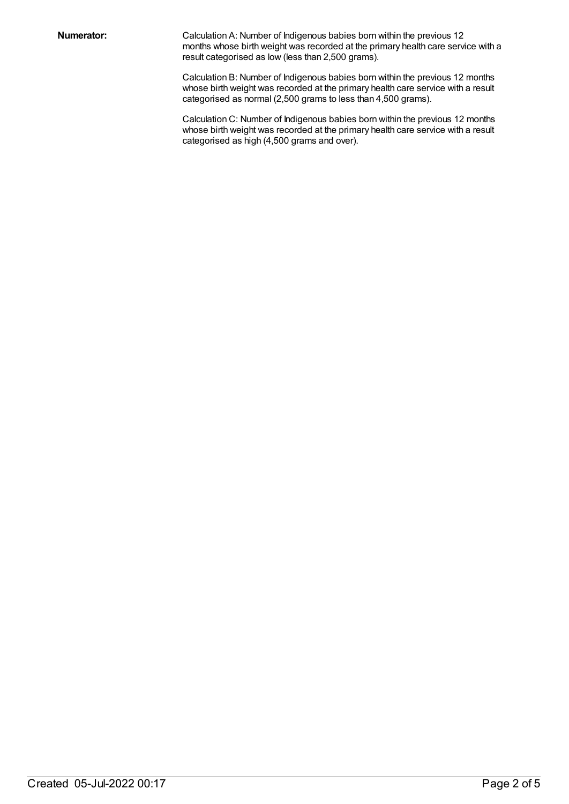**Numerator:** Calculation A: Number of Indigenous babies born within the previous 12 months whose birth weight was recorded at the primary health care service with a result categorised as low (less than 2,500 grams).

> Calculation B: Number of Indigenous babies born within the previous 12 months whose birth weight was recorded at the primary health care service with a result categorised as normal (2,500 grams to less than 4,500 grams).

> Calculation C: Number of Indigenous babies born within the previous 12 months whose birth weight was recorded at the primary health care service with a result categorised as high (4,500 grams and over).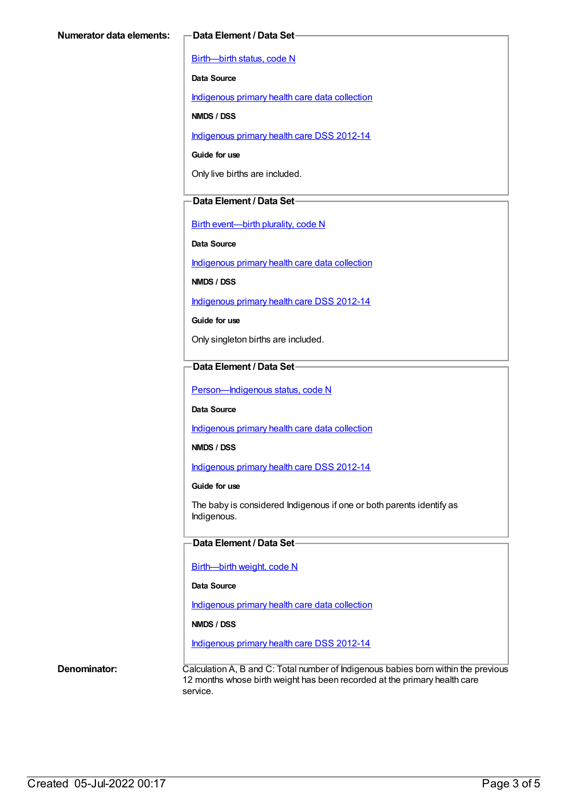[Birth—birth](https://meteor.aihw.gov.au/content/269949) status, code N

**Data Source**

[Indigenous](https://meteor.aihw.gov.au/content/430643) primary health care data collection

**NMDS / DSS**

[Indigenous](https://meteor.aihw.gov.au/content/430629) primary health care DSS 2012-14

**Guide for use**

Only live births are included.

#### **Data Element / Data Set**

Birth [event—birth](https://meteor.aihw.gov.au/content/269994) plurality, code N

**Data Source**

[Indigenous](https://meteor.aihw.gov.au/content/430643) primary health care data collection

**NMDS / DSS**

[Indigenous](https://meteor.aihw.gov.au/content/430629) primary health care DSS 2012-14

**Guide for use**

Only singleton births are included.

### **Data Element / Data Set**

Person-Indigenous status, code N

**Data Source**

[Indigenous](https://meteor.aihw.gov.au/content/430643) primary health care data collection

**NMDS / DSS**

[Indigenous](https://meteor.aihw.gov.au/content/430629) primary health care DSS 2012-14

**Guide for use**

The baby is considered Indigenous if one or both parents identify as Indigenous.

#### **Data Element / Data Set**

[Birth—birth](https://meteor.aihw.gov.au/content/459938) weight, code N

**Data Source**

[Indigenous](https://meteor.aihw.gov.au/content/430643) primary health care data collection

#### **NMDS / DSS**

[Indigenous](https://meteor.aihw.gov.au/content/430629) primary health care DSS 2012-14

**Denominator:** Calculation A, B and C: Total number of Indigenous babies born within the previous 12 months whose birth weight has been recorded at the primary health care service.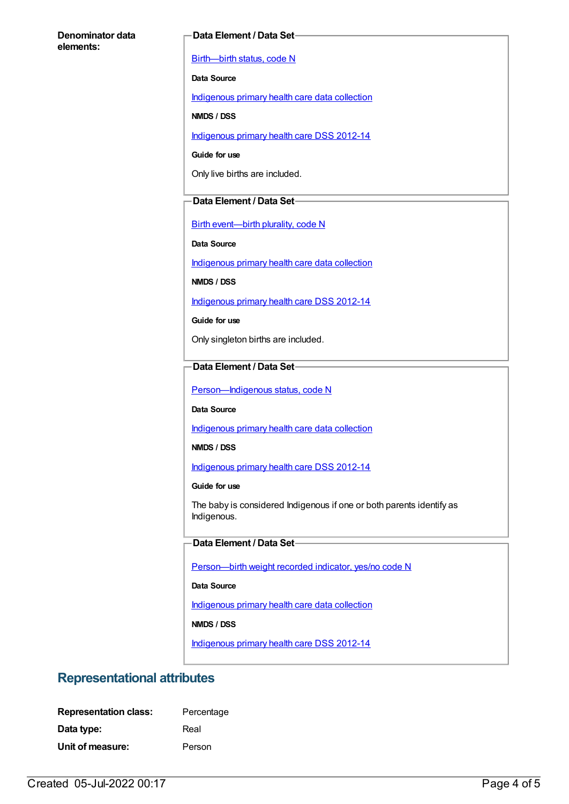#### **Denominator data elements:**

#### **Data Element / Data Set**

[Birth—birth](https://meteor.aihw.gov.au/content/269949) status, code N

**Data Source**

[Indigenous](https://meteor.aihw.gov.au/content/430643) primary health care data collection

**NMDS / DSS**

[Indigenous](https://meteor.aihw.gov.au/content/430629) primary health care DSS 2012-14

**Guide for use**

Only live births are included.

#### **Data Element / Data Set**

Birth [event—birth](https://meteor.aihw.gov.au/content/269994) plurality, code N

**Data Source**

[Indigenous](https://meteor.aihw.gov.au/content/430643) primary health care data collection

**NMDS / DSS**

[Indigenous](https://meteor.aihw.gov.au/content/430629) primary health care DSS 2012-14

**Guide for use**

Only singleton births are included.

### **Data Element / Data Set**

Person-Indigenous status, code N

**Data Source**

[Indigenous](https://meteor.aihw.gov.au/content/430643) primary health care data collection

**NMDS / DSS**

[Indigenous](https://meteor.aihw.gov.au/content/430629) primary health care DSS 2012-14

**Guide for use**

The baby is considered Indigenous if one or both parents identify as Indigenous.

#### **Data Element / Data Set**

[Person—birth](https://meteor.aihw.gov.au/content/441701) weight recorded indicator, yes/no code N

**Data Source**

[Indigenous](https://meteor.aihw.gov.au/content/430643) primary health care data collection

**NMDS / DSS**

[Indigenous](https://meteor.aihw.gov.au/content/430629) primary health care DSS 2012-14

## **Representational attributes**

| <b>Representation class:</b> | Percentage |
|------------------------------|------------|
| Data type:                   | Real       |
| Unit of measure:             | Person     |